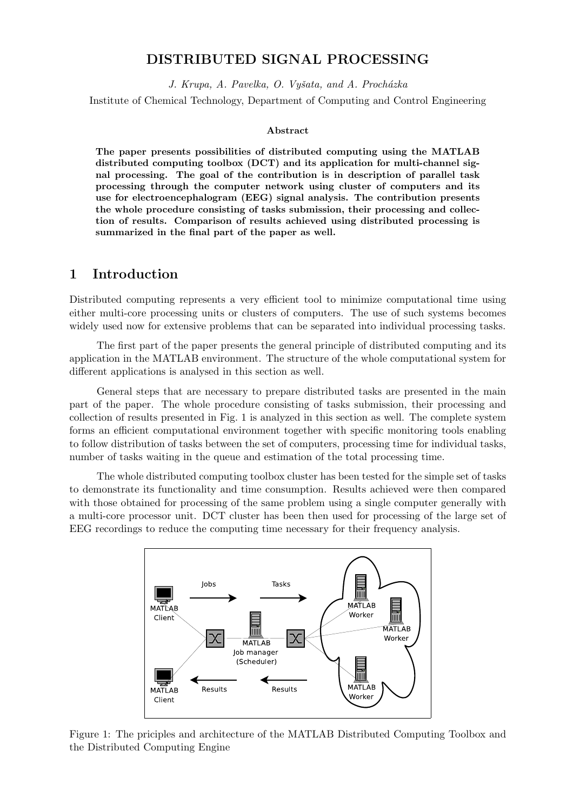### **DISTRIBUTED SIGNAL PROCESSING**

*J. Krupa, A. Pavelka, O. Vyˇsata, and A. Proch´azka*

Institute of Chemical Technology, Department of Computing and Control Engineering

#### **Abstract**

**The paper presents possibilities of distributed computing using the MATLAB distributed computing toolbox (DCT) and its application for multi-channel signal processing. The goal of the contribution is in description of parallel task processing through the computer network using cluster of computers and its use for electroencephalogram (EEG) signal analysis. The contribution presents the whole procedure consisting of tasks submission, their processing and collection of results. Comparison of results achieved using distributed processing is summarized in the final part of the paper as well.**

#### **1 Introduction**

Distributed computing represents a very efficient tool to minimize computational time using either multi-core processing units or clusters of computers. The use of such systems becomes widely used now for extensive problems that can be separated into individual processing tasks.

The first part of the paper presents the general principle of distributed computing and its application in the MATLAB environment. The structure of the whole computational system for different applications is analysed in this section as well.

General steps that are necessary to prepare distributed tasks are presented in the main part of the paper. The whole procedure consisting of tasks submission, their processing and collection of results presented in Fig. 1 is analyzed in this section as well. The complete system forms an efficient computational environment together with specific monitoring tools enabling to follow distribution of tasks between the set of computers, processing time for individual tasks, number of tasks waiting in the queue and estimation of the total processing time.

The whole distributed computing toolbox cluster has been tested for the simple set of tasks to demonstrate its functionality and time consumption. Results achieved were then compared with those obtained for processing of the same problem using a single computer generally with a multi-core processor unit. DCT cluster has been then used for processing of the large set of EEG recordings to reduce the computing time necessary for their frequency analysis.



Figure 1: The priciples and architecture of the MATLAB Distributed Computing Toolbox and the Distributed Computing Engine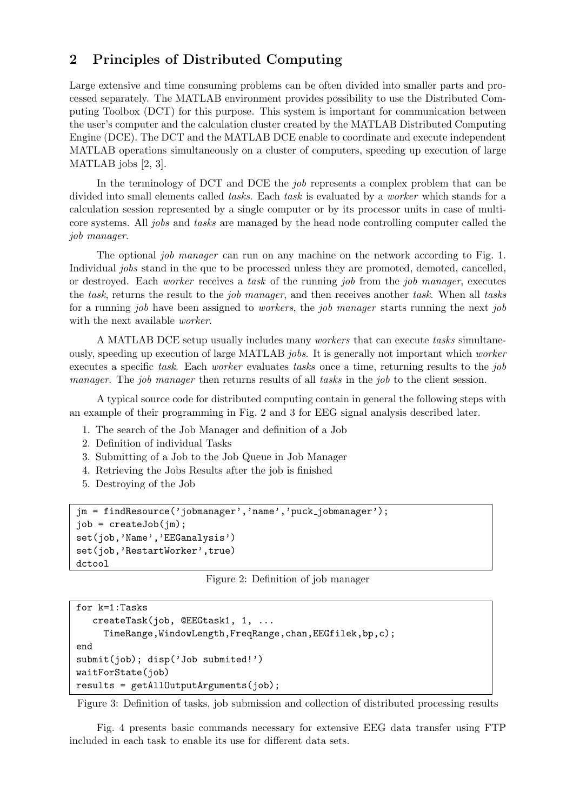# **2 Principles of Distributed Computing**

Large extensive and time consuming problems can be often divided into smaller parts and processed separately. The MATLAB environment provides possibility to use the Distributed Computing Toolbox (DCT) for this purpose. This system is important for communication between the user's computer and the calculation cluster created by the MATLAB Distributed Computing Engine (DCE). The DCT and the MATLAB DCE enable to coordinate and execute independent MATLAB operations simultaneously on a cluster of computers, speeding up execution of large MATLAB jobs [2, 3].

In the terminology of DCT and DCE the *job* represents a complex problem that can be divided into small elements called *tasks*. Each *task* is evaluated by a *worker* which stands for a calculation session represented by a single computer or by its processor units in case of multicore systems. All *jobs* and *tasks* are managed by the head node controlling computer called the *job manager*.

The optional *job manager* can run on any machine on the network according to Fig. 1. Individual *jobs* stand in the que to be processed unless they are promoted, demoted, cancelled, or destroyed. Each *worker* receives a *task* of the running *job* from the *job manager*, executes the *task*, returns the result to the *job manager*, and then receives another *task*. When all *tasks* for a running *job* have been assigned to *workers*, the *job manager* starts running the next *job* with the next available *worker*.

A MATLAB DCE setup usually includes many *workers* that can execute *tasks* simultaneously, speeding up execution of large MATLAB *jobs*. It is generally not important which *worker* executes a specific *task*. Each *worker* evaluates *tasks* once a time, returning results to the *job manager*. The *job manager* then returns results of all *tasks* in the *job* to the client session.

A typical source code for distributed computing contain in general the following steps with an example of their programming in Fig. 2 and 3 for EEG signal analysis described later.

- 1. The search of the Job Manager and definition of a Job
- 2. Definition of individual Tasks
- 3. Submitting of a Job to the Job Queue in Job Manager
- 4. Retrieving the Jobs Results after the job is finished
- 5. Destroying of the Job

```
jm = findResource('jobmanager','name','puck jobmanager');
job = createJob(jm);
set(job,'Name','EEGanalysis')
set(job,'RestartWorker',true)
dctool
```
Figure 2: Definition of job manager

```
for k=1:Tasks
   createTask(job, @EEGtask1, 1, ...
     TimeRange,WindowLength,FreqRange,chan,EEGfilek,bp,c);
end
submit(job); disp('Job submited!')
waitForState(job)
results = getAllOutputArguments(job);
```
Figure 3: Definition of tasks, job submission and collection of distributed processing results

Fig. 4 presents basic commands necessary for extensive EEG data transfer using FTP included in each task to enable its use for different data sets.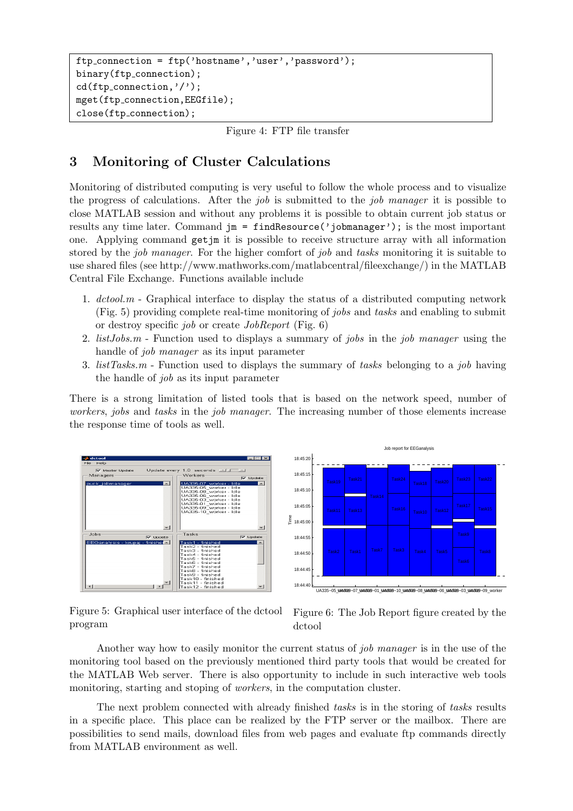```
ftp connection = ftp('hostname','user','password');
binary(ftp_connection);
cd(ftp_{\text{-}}connection,'');
mget(ftp connection,EEGfile);
close(ftp connection);
```
Figure 4: FTP file transfer

# **3 Monitoring of Cluster Calculations**

Monitoring of distributed computing is very useful to follow the whole process and to visualize the progress of calculations. After the *job* is submitted to the *job manager* it is possible to close MATLAB session and without any problems it is possible to obtain current job status or results any time later. Command jm = findResource('jobmanager'); is the most important one. Applying command getjm it is possible to receive structure array with all information stored by the *job manager*. For the higher comfort of *job* and *tasks* monitoring it is suitable to use shared files (see http://www.mathworks.com/matlabcentral/fileexchange/) in the MATLAB Central File Exchange. Functions available include

- 1. *dctool.m* Graphical interface to display the status of a distributed computing network (Fig. 5) providing complete real-time monitoring of *jobs* and *tasks* and enabling to submit or destroy specific *job* or create *JobReport* (Fig. 6)
- 2. *listJobs.m* Function used to displays a summary of *jobs* in the *job manager* using the handle of *job manager* as its input parameter
- 3. *listTasks.m* Function used to displays the summary of *tasks* belonging to a *job* having the handle of *job* as its input parameter

There is a strong limitation of listed tools that is based on the network speed, number of *workers*, *jobs* and *tasks* in the *job manager*. The increasing number of those elements increase the response time of tools as well.





Figure 5: Graphical user interface of the dctool program

Figure 6: The Job Report figure created by the dctool

Another way how to easily monitor the current status of *job manager* is in the use of the monitoring tool based on the previously mentioned third party tools that would be created for the MATLAB Web server. There is also opportunity to include in such interactive web tools monitoring, starting and stoping of *workers*, in the computation cluster.

The next problem connected with already finished *tasks* is in the storing of *tasks* results in a specific place. This place can be realized by the FTP server or the mailbox. There are possibilities to send mails, download files from web pages and evaluate ftp commands directly from MATLAB environment as well.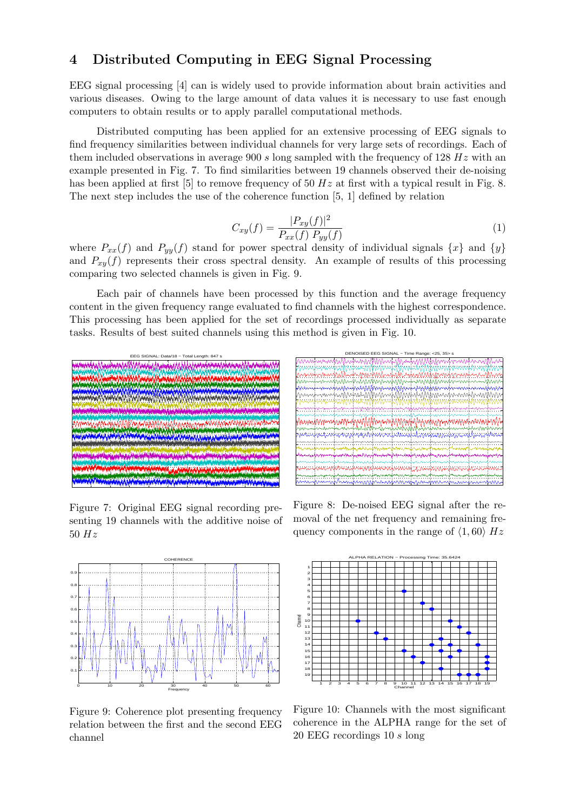### **4 Distributed Computing in EEG Signal Processing**

EEG signal processing [4] can is widely used to provide information about brain activities and various diseases. Owing to the large amount of data values it is necessary to use fast enough computers to obtain results or to apply parallel computational methods.

Distributed computing has been applied for an extensive processing of EEG signals to find frequency similarities between individual channels for very large sets of recordings. Each of them included observations in average 900 *s* long sampled with the frequency of 128 *Hz* with an example presented in Fig. 7. To find similarities between 19 channels observed their de-noising has been applied at first [5] to remove frequency of 50  $Hz$  at first with a typical result in Fig. 8. The next step includes the use of the coherence function [5, 1] defined by relation

$$
C_{xy}(f) = \frac{|P_{xy}(f)|^2}{P_{xx}(f) P_{yy}(f)}
$$
(1)

where  $P_{xx}(f)$  and  $P_{yy}(f)$  stand for power spectral density of individual signals  $\{x\}$  and  $\{y\}$ and  $P_{xy}(f)$  represents their cross spectral density. An example of results of this processing comparing two selected channels is given in Fig. 9.

Each pair of channels have been processed by this function and the average frequency content in the given frequency range evaluated to find channels with the highest correspondence. This processing has been applied for the set of recordings processed individually as separate tasks. Results of best suited channels using this method is given in Fig. 10.



Figure 7: Original EEG signal recording presenting 19 channels with the additive noise of 50 *Hz*



Figure 9: Coherence plot presenting frequency relation between the first and the second EEG channel

Figure 8: De-noised EEG signal after the removal of the net frequency and remaining frequency components in the range of  $\langle 1, 60 \rangle$   $Hz$ 



Figure 10: Channels with the most significant coherence in the ALPHA range for the set of 20 EEG recordings 10 *s* long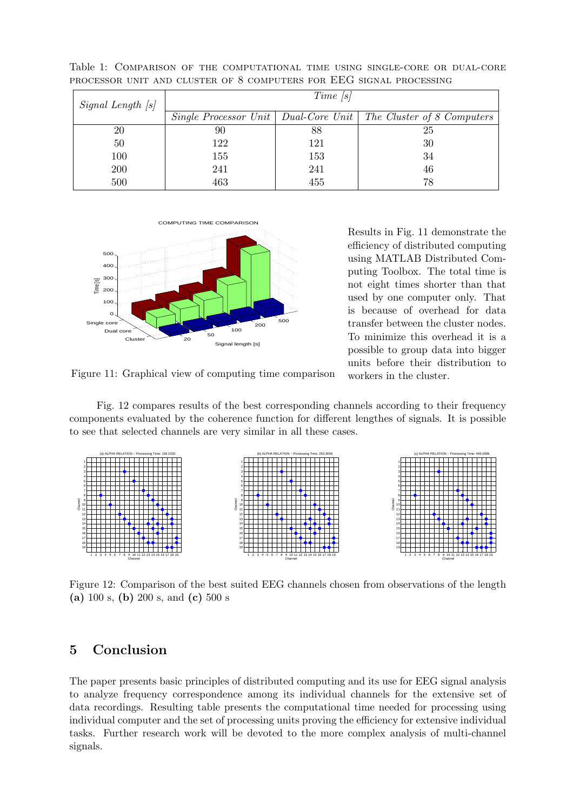| Signal Length [s] | $Time$ [s] |     |                                                                     |
|-------------------|------------|-----|---------------------------------------------------------------------|
|                   |            |     | Single Processor Unit   Dual-Core Unit   The Cluster of 8 Computers |
| 20                | 90         | 88  | 25                                                                  |
| 50                | 122        | 121 | 30                                                                  |
| 100               | 155        | 153 | 34                                                                  |
| <b>200</b>        | 241        | 241 | 46                                                                  |
| 500               | 463        | 455 | 78                                                                  |

Table 1: Comparison of the computational time using single-core or dual-core processor unit and cluster of 8 computers for EEG signal processing



Results in Fig. 11 demonstrate the efficiency of distributed computing using MATLAB Distributed Computing Toolbox. The total time is not eight times shorter than that used by one computer only. That is because of overhead for data transfer between the cluster nodes. To minimize this overhead it is a possible to group data into bigger units before their distribution to workers in the cluster.

Figure 11: Graphical view of computing time comparison

Fig. 12 compares results of the best corresponding channels according to their frequency components evaluated by the coherence function for different lengthes of signals. It is possible to see that selected channels are very similar in all these cases.



Figure 12: Comparison of the best suited EEG channels chosen from observations of the length **(a)** 100 s, **(b)** 200 s, and **(c)** 500 s

## **5 Conclusion**

The paper presents basic principles of distributed computing and its use for EEG signal analysis to analyze frequency correspondence among its individual channels for the extensive set of data recordings. Resulting table presents the computational time needed for processing using individual computer and the set of processing units proving the efficiency for extensive individual tasks. Further research work will be devoted to the more complex analysis of multi-channel signals.